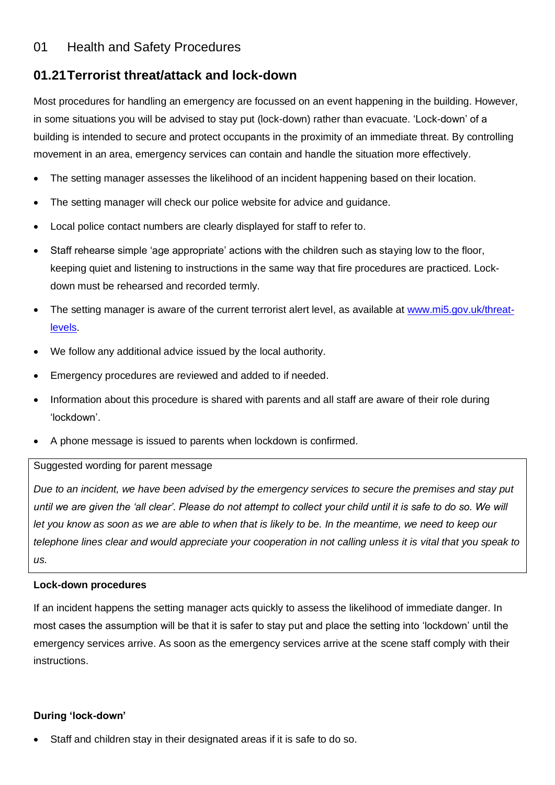## 01 Health and Safety Procedures

# **01.21Terrorist threat/attack and lock-down**

Most procedures for handling an emergency are focussed on an event happening in the building. However, in some situations you will be advised to stay put (lock-down) rather than evacuate. 'Lock-down' of a building is intended to secure and protect occupants in the proximity of an immediate threat. By controlling movement in an area, emergency services can contain and handle the situation more effectively.

- The setting manager assesses the likelihood of an incident happening based on their location.
- The setting manager will check our police website for advice and guidance.
- Local police contact numbers are clearly displayed for staff to refer to.
- Staff rehearse simple 'age appropriate' actions with the children such as staying low to the floor, keeping quiet and listening to instructions in the same way that fire procedures are practiced. Lockdown must be rehearsed and recorded termly.
- The setting manager is aware of the current terrorist alert level, as available at [www.mi5.gov.uk/threat](http://www.mi5.gov.uk/threat-levels)[levels.](http://www.mi5.gov.uk/threat-levels)
- We follow any additional advice issued by the local authority.
- Emergency procedures are reviewed and added to if needed.
- Information about this procedure is shared with parents and all staff are aware of their role during 'lockdown'.
- A phone message is issued to parents when lockdown is confirmed.

## Suggested wording for parent message

*Due to an incident, we have been advised by the emergency services to secure the premises and stay put until we are given the 'all clear'. Please do not attempt to collect your child until it is safe to do so. We will let you know as soon as we are able to when that is likely to be. In the meantime, we need to keep our telephone lines clear and would appreciate your cooperation in not calling unless it is vital that you speak to us.*

## **Lock-down procedures**

If an incident happens the setting manager acts quickly to assess the likelihood of immediate danger. In most cases the assumption will be that it is safer to stay put and place the setting into 'lockdown' until the emergency services arrive. As soon as the emergency services arrive at the scene staff comply with their instructions.

## **During 'lock-down'**

Staff and children stay in their designated areas if it is safe to do so.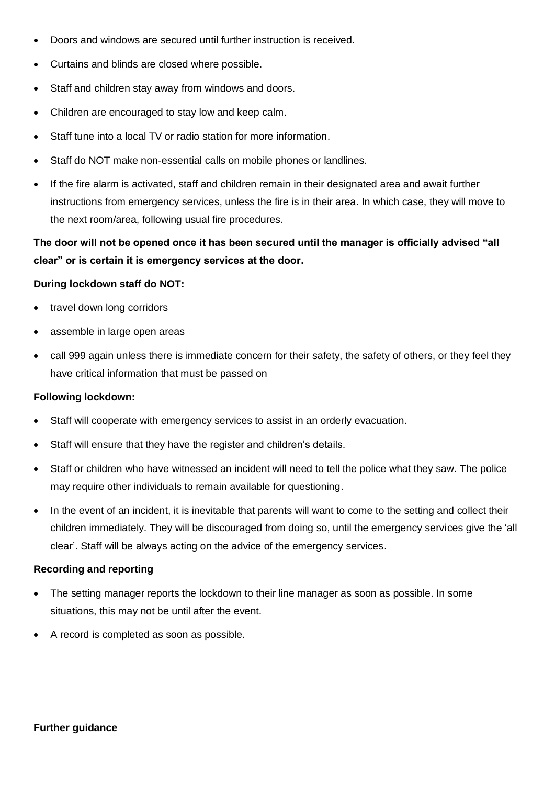- Doors and windows are secured until further instruction is received.
- Curtains and blinds are closed where possible.
- Staff and children stay away from windows and doors.
- Children are encouraged to stay low and keep calm.
- Staff tune into a local TV or radio station for more information.
- Staff do NOT make non-essential calls on mobile phones or landlines.
- If the fire alarm is activated, staff and children remain in their designated area and await further instructions from emergency services, unless the fire is in their area. In which case, they will move to the next room/area, following usual fire procedures.

## **The door will not be opened once it has been secured until the manager is officially advised "all clear" or is certain it is emergency services at the door.**

#### **During lockdown staff do NOT:**

- travel down long corridors
- assemble in large open areas
- call 999 again unless there is immediate concern for their safety, the safety of others, or they feel they have critical information that must be passed on

#### **Following lockdown:**

- Staff will cooperate with emergency services to assist in an orderly evacuation.
- Staff will ensure that they have the register and children's details.
- Staff or children who have witnessed an incident will need to tell the police what they saw. The police may require other individuals to remain available for questioning.
- In the event of an incident, it is inevitable that parents will want to come to the setting and collect their children immediately. They will be discouraged from doing so, until the emergency services give the 'all clear'. Staff will be always acting on the advice of the emergency services.

#### **Recording and reporting**

- The setting manager reports the lockdown to their line manager as soon as possible. In some situations, this may not be until after the event.
- A record is completed as soon as possible.